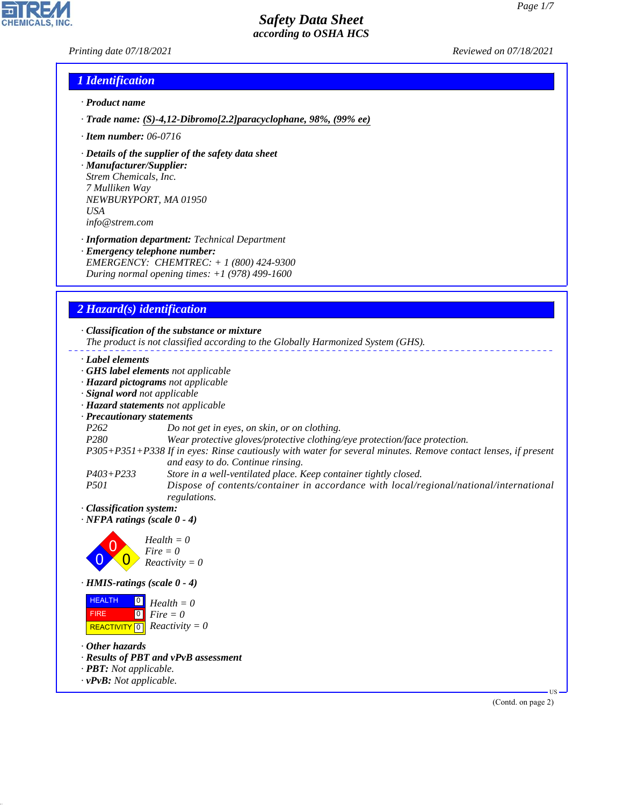### *Printing date 07/18/2021 Reviewed on 07/18/2021*

### *1 Identification*

- *· Product name*
- *· Trade name: (S)-4,12-Dibromo[2.2]paracyclophane, 98%, (99% ee)*
- *· Item number: 06-0716*
- *· Details of the supplier of the safety data sheet*
- *· Manufacturer/Supplier: Strem Chemicals, Inc. 7 Mulliken Way NEWBURYPORT, MA 01950 USA info@strem.com*
- *· Information department: Technical Department · Emergency telephone number: EMERGENCY: CHEMTREC: + 1 (800) 424-9300 During normal opening times: +1 (978) 499-1600*

# *2 Hazard(s) identification*

*· Classification of the substance or mixture The product is not classified according to the Globally Harmonized System (GHS). · Label elements · GHS label elements not applicable · Hazard pictograms not applicable · Signal word not applicable · Hazard statements not applicable · Precautionary statements P262 Do not get in eyes, on skin, or on clothing. P280 Wear protective gloves/protective clothing/eye protection/face protection. P305+P351+P338 If in eyes: Rinse cautiously with water for several minutes. Remove contact lenses, if present and easy to do. Continue rinsing. P403+P233 Store in a well-ventilated place. Keep container tightly closed. P501 Dispose of contents/container in accordance with local/regional/national/international regulations. · Classification system: · NFPA ratings (scale 0 - 4)*



*· HMIS-ratings (scale 0 - 4)*

| <b>HEALTH</b>     | $\begin{bmatrix} 0 \\ H \end{bmatrix}$ Health = 0           |
|-------------------|-------------------------------------------------------------|
| FIRE <sup>1</sup> | $\begin{bmatrix} \bullet \\ \bullet \end{bmatrix}$ Fire = 0 |
|                   | REACTIVITY $\boxed{0}$ <i>Reactivity</i> = 0                |

*· Other hazards*

44.1.1

- *· Results of PBT and vPvB assessment*
- *· PBT: Not applicable.*
- *· vPvB: Not applicable.*

(Contd. on page 2)

US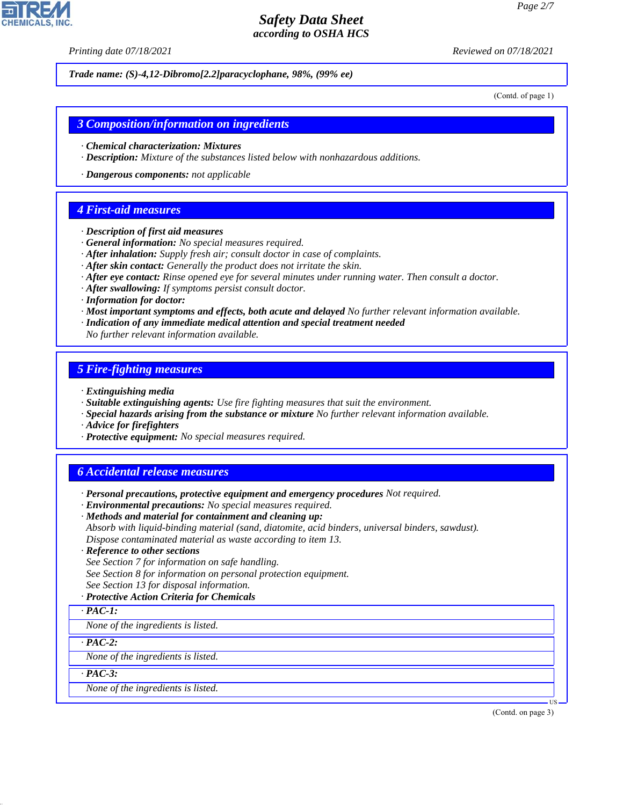*Printing date 07/18/2021 Reviewed on 07/18/2021*

*Trade name: (S)-4,12-Dibromo[2.2]paracyclophane, 98%, (99% ee)*

(Contd. of page 1)

#### *3 Composition/information on ingredients*

- *· Chemical characterization: Mixtures*
- *· Description: Mixture of the substances listed below with nonhazardous additions.*
- *· Dangerous components: not applicable*

#### *4 First-aid measures*

- *· Description of first aid measures*
- *· General information: No special measures required.*
- *· After inhalation: Supply fresh air; consult doctor in case of complaints.*
- *· After skin contact: Generally the product does not irritate the skin.*
- *· After eye contact: Rinse opened eye for several minutes under running water. Then consult a doctor.*
- *· After swallowing: If symptoms persist consult doctor.*
- *· Information for doctor:*
- *· Most important symptoms and effects, both acute and delayed No further relevant information available.*
- *· Indication of any immediate medical attention and special treatment needed*
- *No further relevant information available.*

### *5 Fire-fighting measures*

- *· Extinguishing media*
- *· Suitable extinguishing agents: Use fire fighting measures that suit the environment.*
- *· Special hazards arising from the substance or mixture No further relevant information available.*
- *· Advice for firefighters*
- *· Protective equipment: No special measures required.*

## *6 Accidental release measures*

- *· Personal precautions, protective equipment and emergency procedures Not required.*
- *· Environmental precautions: No special measures required.*
- *· Methods and material for containment and cleaning up:*
- *Absorb with liquid-binding material (sand, diatomite, acid binders, universal binders, sawdust). Dispose contaminated material as waste according to item 13.*
- *· Reference to other sections*
- *See Section 7 for information on safe handling.*
- *See Section 8 for information on personal protection equipment.*
- *See Section 13 for disposal information.*
- *· Protective Action Criteria for Chemicals*

#### *· PAC-1:*

*None of the ingredients is listed.*

#### *· PAC-2:*

*None of the ingredients is listed.*

*· PAC-3:*

44.1.1

*None of the ingredients is listed.*

(Contd. on page 3)

US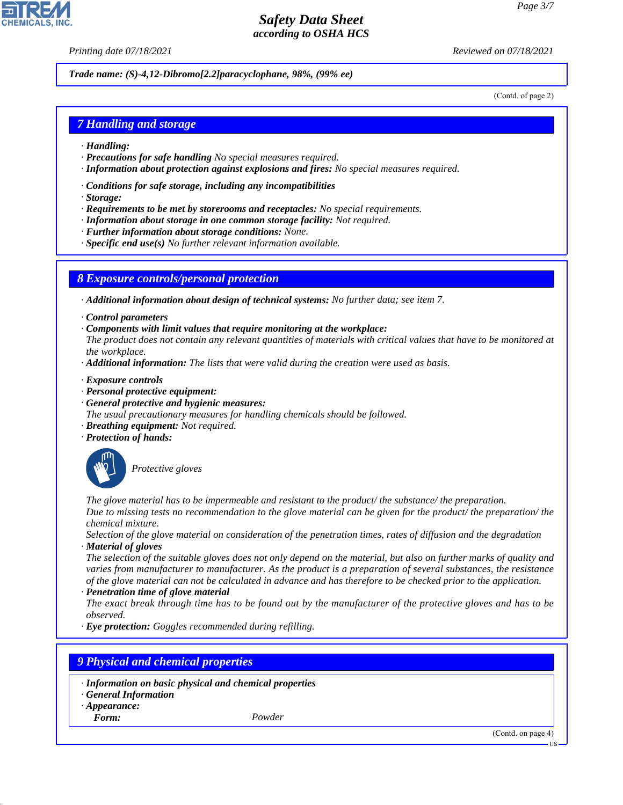*Printing date 07/18/2021 Reviewed on 07/18/2021*

*Trade name: (S)-4,12-Dibromo[2.2]paracyclophane, 98%, (99% ee)*

(Contd. of page 2)

### *7 Handling and storage*

- *· Handling:*
- *· Precautions for safe handling No special measures required.*
- *· Information about protection against explosions and fires: No special measures required.*
- *· Conditions for safe storage, including any incompatibilities*
- *· Storage:*
- *· Requirements to be met by storerooms and receptacles: No special requirements.*
- *· Information about storage in one common storage facility: Not required.*
- *· Further information about storage conditions: None.*
- *· Specific end use(s) No further relevant information available.*

### *8 Exposure controls/personal protection*

*· Additional information about design of technical systems: No further data; see item 7.*

- *· Control parameters*
- *· Components with limit values that require monitoring at the workplace:*
- *The product does not contain any relevant quantities of materials with critical values that have to be monitored at the workplace.*
- *· Additional information: The lists that were valid during the creation were used as basis.*
- *· Exposure controls*
- *· Personal protective equipment:*
- *· General protective and hygienic measures:*
- *The usual precautionary measures for handling chemicals should be followed.*
- *· Breathing equipment: Not required.*
- *· Protection of hands:*



\_S*Protective gloves*

*The glove material has to be impermeable and resistant to the product/ the substance/ the preparation. Due to missing tests no recommendation to the glove material can be given for the product/ the preparation/ the chemical mixture.*

*Selection of the glove material on consideration of the penetration times, rates of diffusion and the degradation · Material of gloves*

*The selection of the suitable gloves does not only depend on the material, but also on further marks of quality and varies from manufacturer to manufacturer. As the product is a preparation of several substances, the resistance of the glove material can not be calculated in advance and has therefore to be checked prior to the application.*

*· Penetration time of glove material*

*The exact break through time has to be found out by the manufacturer of the protective gloves and has to be observed.*

*· Eye protection: Goggles recommended during refilling.*

### *9 Physical and chemical properties*

- *· Information on basic physical and chemical properties*
- *· General Information*
- *· Appearance:*

44.1.1

*Form: Powder*



US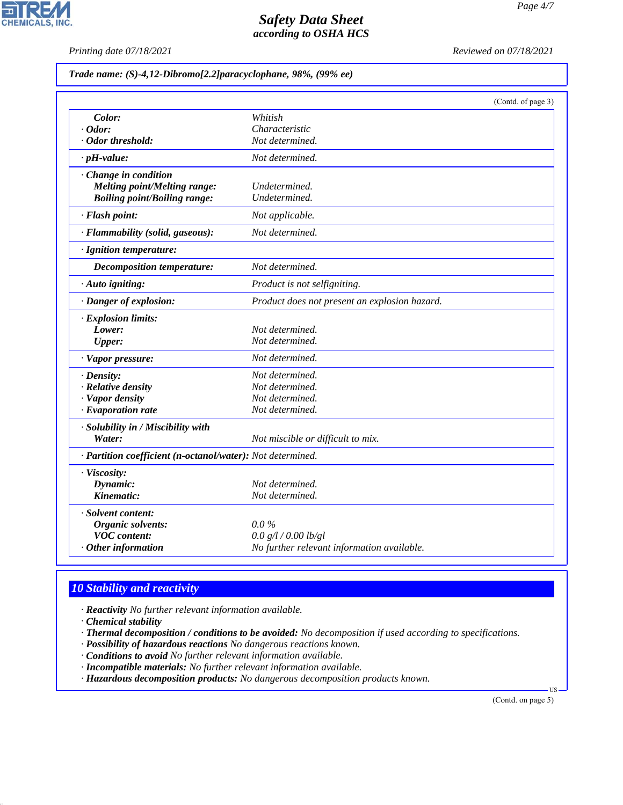*Printing date 07/18/2021 Reviewed on 07/18/2021*

*Trade name: (S)-4,12-Dibromo[2.2]paracyclophane, 98%, (99% ee)*

|                                                            |                                               | (Contd. of page 3) |
|------------------------------------------------------------|-----------------------------------------------|--------------------|
| Color:                                                     | Whitish                                       |                    |
| · Odor:                                                    | Characteristic                                |                    |
| · Odor threshold:                                          | Not determined.                               |                    |
| $\cdot$ pH-value:                                          | Not determined.                               |                    |
| Change in condition                                        |                                               |                    |
| <b>Melting point/Melting range:</b>                        | Undetermined.                                 |                    |
| <b>Boiling point/Boiling range:</b>                        | Undetermined.                                 |                    |
| · Flash point:                                             | Not applicable.                               |                    |
| · Flammability (solid, gaseous):                           | Not determined.                               |                    |
| · Ignition temperature:                                    |                                               |                    |
| <b>Decomposition temperature:</b>                          | Not determined.                               |                    |
| · Auto igniting:                                           | Product is not selfigniting.                  |                    |
| · Danger of explosion:                                     | Product does not present an explosion hazard. |                    |
| · Explosion limits:                                        |                                               |                    |
| Lower:                                                     | Not determined.                               |                    |
| <b>Upper:</b>                                              | Not determined.                               |                    |
| · Vapor pressure:                                          | Not determined.                               |                    |
| $\cdot$ Density:                                           | Not determined.                               |                    |
| · Relative density                                         | Not determined.                               |                    |
| · Vapor density                                            | Not determined.                               |                    |
| $\cdot$ Evaporation rate                                   | Not determined.                               |                    |
| · Solubility in / Miscibility with                         |                                               |                    |
| Water:                                                     | Not miscible or difficult to mix.             |                    |
| · Partition coefficient (n-octanol/water): Not determined. |                                               |                    |
| · Viscosity:                                               |                                               |                    |
| Dynamic:                                                   | Not determined.                               |                    |
| Kinematic:                                                 | Not determined.                               |                    |
| · Solvent content:                                         |                                               |                    |
| Organic solvents:                                          | $0.0\%$                                       |                    |
| <b>VOC</b> content:                                        | 0.0 g/l / 0.00 lb/gl                          |                    |
| Other information                                          | No further relevant information available.    |                    |

# *10 Stability and reactivity*

*· Reactivity No further relevant information available.*

*· Chemical stability*

44.1.1

*· Thermal decomposition / conditions to be avoided: No decomposition if used according to specifications.*

*· Possibility of hazardous reactions No dangerous reactions known.*

*· Conditions to avoid No further relevant information available.*

*· Incompatible materials: No further relevant information available.*

*· Hazardous decomposition products: No dangerous decomposition products known.*

(Contd. on page 5)

US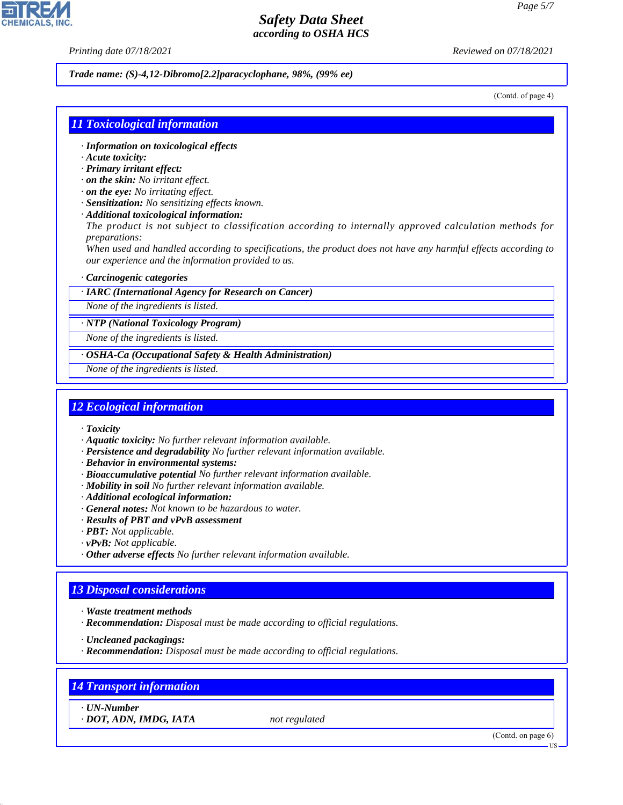*Printing date 07/18/2021 Reviewed on 07/18/2021*

#### *Trade name: (S)-4,12-Dibromo[2.2]paracyclophane, 98%, (99% ee)*

(Contd. of page 4)

### *11 Toxicological information*

- *· Information on toxicological effects*
- *· Acute toxicity:*
- *· Primary irritant effect:*
- *· on the skin: No irritant effect.*
- *· on the eye: No irritating effect.*
- *· Sensitization: No sensitizing effects known.*
- *· Additional toxicological information:*

*The product is not subject to classification according to internally approved calculation methods for preparations:*

*When used and handled according to specifications, the product does not have any harmful effects according to our experience and the information provided to us.*

#### *· Carcinogenic categories*

*· IARC (International Agency for Research on Cancer)*

*None of the ingredients is listed.*

*· NTP (National Toxicology Program)*

*None of the ingredients is listed.*

*· OSHA-Ca (Occupational Safety & Health Administration)*

*None of the ingredients is listed.*

#### *12 Ecological information*

- *· Toxicity*
- *· Aquatic toxicity: No further relevant information available.*
- *· Persistence and degradability No further relevant information available.*
- *· Behavior in environmental systems:*
- *· Bioaccumulative potential No further relevant information available.*
- *· Mobility in soil No further relevant information available.*
- *· Additional ecological information:*
- *· General notes: Not known to be hazardous to water.*
- *· Results of PBT and vPvB assessment*
- *· PBT: Not applicable.*
- *· vPvB: Not applicable.*
- *· Other adverse effects No further relevant information available.*

### *13 Disposal considerations*

- *· Waste treatment methods*
- *· Recommendation: Disposal must be made according to official regulations.*

*· Uncleaned packagings:*

*· Recommendation: Disposal must be made according to official regulations.*

## *14 Transport information*

*· UN-Number*

44.1.1

*· DOT, ADN, IMDG, IATA not regulated*

(Contd. on page 6)

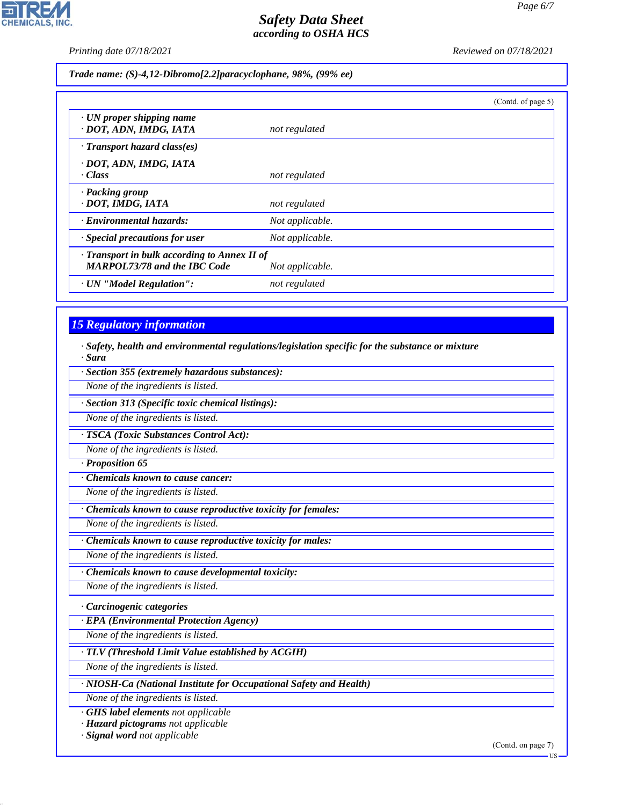**CHEMICALS, INC.** 

*Printing date 07/18/2021 Reviewed on 07/18/2021*

*Trade name: (S)-4,12-Dibromo[2.2]paracyclophane, 98%, (99% ee)*

|                                                                                     |                 | (Contd. of page 5) |
|-------------------------------------------------------------------------------------|-----------------|--------------------|
| $\cdot$ UN proper shipping name<br>· DOT, ADN, IMDG, IATA                           | not regulated   |                    |
| $\cdot$ Transport hazard class(es)                                                  |                 |                    |
| · DOT, ADN, IMDG, IATA<br>· Class                                                   | not regulated   |                    |
| · Packing group<br>· DOT, IMDG, IATA                                                | not regulated   |                    |
| · Environmental hazards:                                                            | Not applicable. |                    |
| · Special precautions for user                                                      | Not applicable. |                    |
| · Transport in bulk according to Annex II of<br><b>MARPOL73/78 and the IBC Code</b> | Not applicable. |                    |
| · UN "Model Regulation":                                                            | not regulated   |                    |

# *15 Regulatory information*

*· Safety, health and environmental regulations/legislation specific for the substance or mixture · Sara*

*· Section 355 (extremely hazardous substances):*

*None of the ingredients is listed.*

*· Section 313 (Specific toxic chemical listings):*

*None of the ingredients is listed.*

*· TSCA (Toxic Substances Control Act):*

*None of the ingredients is listed.*

*· Proposition 65*

*· Chemicals known to cause cancer:*

*None of the ingredients is listed.*

*· Chemicals known to cause reproductive toxicity for females:*

*None of the ingredients is listed.*

*· Chemicals known to cause reproductive toxicity for males:*

*None of the ingredients is listed.*

*· Chemicals known to cause developmental toxicity:*

*None of the ingredients is listed.*

*· Carcinogenic categories*

*· EPA (Environmental Protection Agency)*

*None of the ingredients is listed.*

*· TLV (Threshold Limit Value established by ACGIH)*

*None of the ingredients is listed.*

*· NIOSH-Ca (National Institute for Occupational Safety and Health)*

*None of the ingredients is listed.*

*· GHS label elements not applicable*

*· Hazard pictograms not applicable*

*· Signal word not applicable*

44.1.1